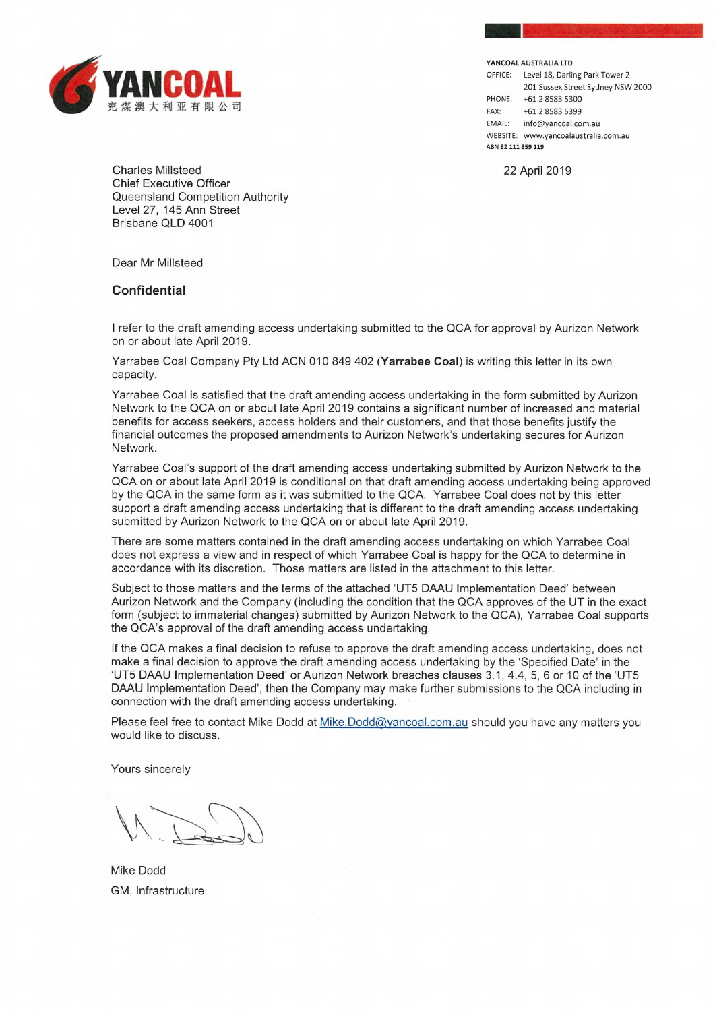

**YANCOAL AUSTRALIA LTD** 

OFFICE: Level 18, Darling Park Tower 2 201 Sussex Street Sydney NSW 2000 PHONE; +61 2 8583 5300 FAX: +61 2 8583 5399 EMAIL: info@yancoal.com.au WEBSITE: www.yancoalaustralia.com.au **ABN 82 111 859 119** 

22 April 2019

Charles Millsteed Chief Executive Officer Queensland Competition Authority Level 27, 145 Ann Street Brisbane QLD 4001

Dear Mr Millsteed

## **Confidential**

I refer to the draft amending access undertaking submitted to the QCA for approval by Aurizon Network on or about late April 2019.

Yarrabee Coal Company Pty Ltd ACN 010 849 402 **(Yarrabee Coal)** is writing this letter in its own capacity.

Yarrabee Coal is satisfied that the draft amending access undertaking in the form submitted by Aurizon Network to the QCA on or about late April 2019 contains a significant number of increased and material benefits for access seekers, access holders and their customers, and that those benefits justify the financial outcomes the proposed amendments to Aurizon Network's undertaking secures for Aurizon Network.

Yarrabee Coal's support of the draft amending access undertaking submitted by Aurizon Network to the QCA on or about late April 2019 is conditional on that draft amending access undertaking being approved by the QCA in the same form as it was submitted to the QCA. Yarrabee Coal does not by this letter support a draft amending access undertaking that is different to the draft amending access undertaking submitted by Aurizon Network to the QCA on or about late April 2019.

There are some matters contained in the draft amending access undertaking on which Yarrabee Coal does not express a view and in respect of which Yarrabee Coal is happy for the QCA to determine in accordance with its discretion. Those matters are listed in the attachment to this letter.

Subject to those matters and the terms of the attached 'UT5 DAAU Implementation Deed' between Aurizon Network and the Company (including the condition that the QCA approves of the UT in the exact form (subject to immaterial changes) submitted by Aurizon Network to the QCA), Yarrabee Coal supports the QCA's approval of the draft amending access undertaking.

If the QCA makes a final decision to refuse to approve the draft amending access undertaking, does not make a final decision to approve the draft amending access undertaking by the 'Specified Date' in the `UT5 DAAU Implementation Deed' or Aurizon Network breaches clauses 3.1, 4.4, 5,6 or 10 of the `UT5 DAAU Implementation Deed', then the Company may make further submissions to the QCA including in connection with the draft amending access undertaking.

Please feel free to contact Mike Dodd at Mike.Dodd@yancoal.com.au should you have any matters you would like to discuss.

Yours sincerely

Mike Dodd GM, Infrastructure